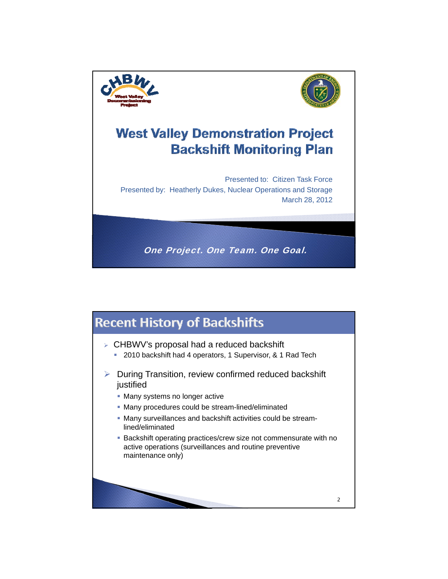



## **West Valley Demonstration Project Backshift Monitoring Plan**

Presented to: Citizen Task Force Presented by: Heatherly Dukes, Nuclear Operations and Storage March 28, 2012

One Project. One Team. One Goal.